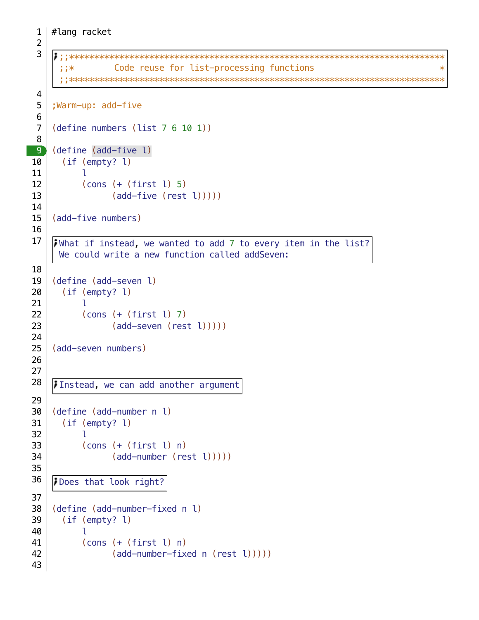```
;;***************************************************************************
     ;;* Code reuse for list-processing functions *
     ;;***************************************************************************
    ;Warm-up: add-five
    (define numbers (list 7 6 10 1))
    (define (add-five l)
       (if (empty? l)
          \mathbf{1} (cons (+ (first l) 5)
                (\text{add-five} (\text{rest } l))))(add-five numbers)
    What if instead, we wanted to add 7 to every item in the list?
     We could write a new function called addSeven:
    (define (add-seven l)
       (if (empty? l)
           l
           (cons (+ (first l) 7)
                (\text{add-seven} (\text{rest } l))))(add-seven numbers)
    Instead, we can add another argument
    (define (add-number n l)
       (if (empty? l)
           l
           (cons (+ (first l) n)
                 (add-number (rest l)))))
    Does that look right?
    (define (add-number-fixed n l)
       (if (empty? l)
          \mathbf{1} (cons (+ (first l) n)
                 (add-number-fixed n (rest l)))))
 2
 3
 4
 5
 6
 7
 8
9
10
11
12
13
14
15
16
17
18
19
20
21
22
23
24
25
26
27
28
29
30
31
32
33
34
35
36
37
38
39
40
41
42
43
```
#lang racket

1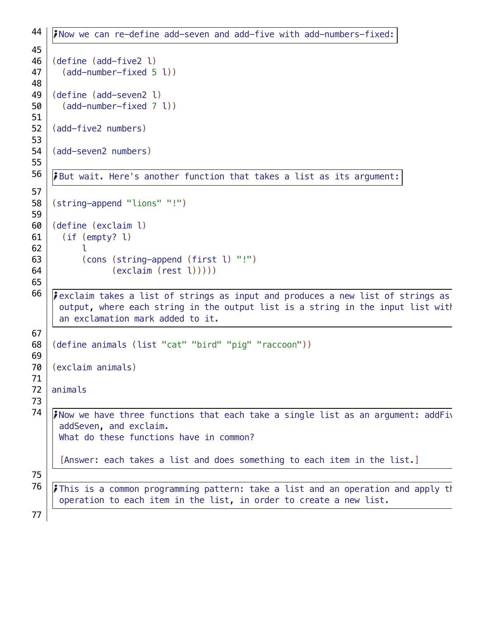```
Now we can re-define add-seven and add-five with add-numbers-fixed:
    (define (add-five2 l)
       (add-number-fixed 5 l))
    (define (add-seven2 l)
       (add-number-fixed 7 l))
    (add-five2 numbers)
    (add-seven2 numbers)
    But wait. Here's another function that takes a list as its argument:
    (string-append "lions" "!")
    (define (exclaim l)
       (if (empty? l)
          \mathbf{1} (cons (string-append (first l) "!")
                 (exclaim (rest l)))))
    F exclaim takes a list of strings as input and produces a new list of strings as
     output, where each string in the output list is a string in the input list with
     an exclamation mark added to it.
    (define animals (list "cat" "bird" "pig" "raccoon"))
    (exclaim animals)
    animals
    Now we have three functions that each take a single list as an argument: addFiv
     addSeven, and exclaim.
     What do these functions have in common?
      [Answer: each takes a list and does something to each item in the list.]
    \mathbf{F} This is a common programming pattern: take a list and an operation and apply that
     operation to each item in the list, in order to create a new list.
44
45
46
47
48
49
50
51
52
53
54
55
56
57
58
59
60
61
62
63
64
65
66
67
68
69
70
71
72
73
74
75
76
77
```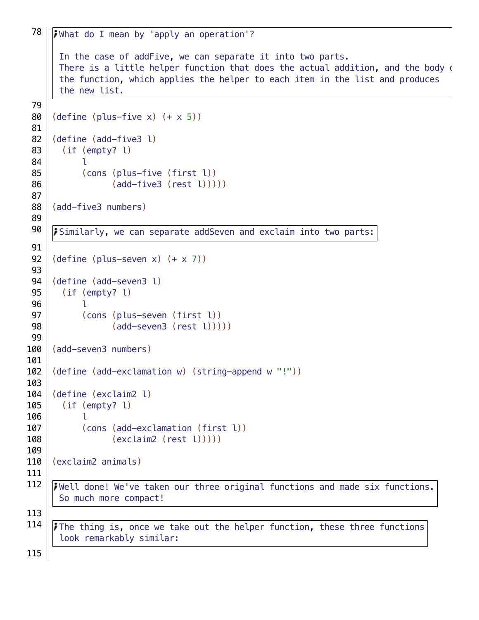```
What do I mean by 'apply an operation'?
      In the case of addFive, we can separate it into two parts.
      There is a little helper function that does the actual addition, and the body of
      the function, which applies the helper to each item in the list and produces
      the new list.
     (detine (plus-five x) (+ x 5))(define (add-five3 l)
        (if (empty? l)
           \mathbf{1} (cons (plus-five (first l))
                  (add-five3 (rest l)))))
     (add-five3 numbers)
     Similarly, we can separate addSeven and exclaim into two parts:
     (detine (plus-seven x) (+ x 7))(define (add-seven3 l)
        (if (empty? l)
            l
            (cons (plus-seven (first l))
                  (add-seven3 (rest l)))))
     (add-seven3 numbers)
     (define (add-exclamation w) (string-append w "!"))
     (define (exclaim2 l)
        (if (empty? l)
            l
            (cons (add-exclamation (first l))
                  (exclaim2 (rest l)))))
     (exclaim2 animals)
     Well done! We've taken our three original functions and made six functions.
      So much more compact!
     The thing is, once we take out the helper function, these three functions
 78
 79
80
81
82
83
84
85
86
87
88
89
90
91
92
93
94
95
96
97
98
99
100
101
102
103
104
105
106
107
108
109
110
111
112
113
114
```
look remarkably similar:

115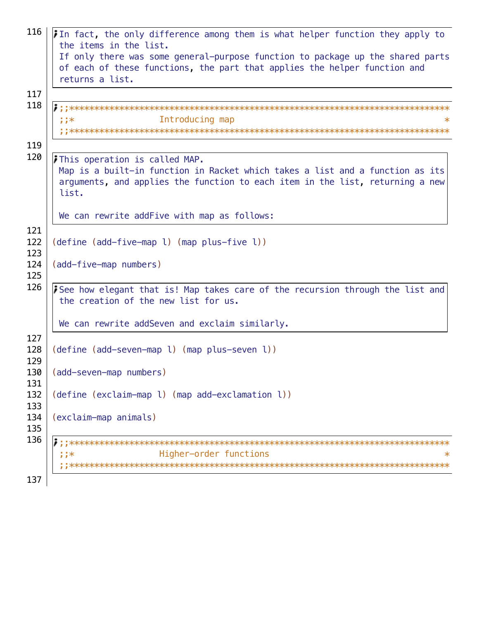| 116               | In fact, the only difference among them is what helper function they apply to<br>the items in the list.                                                                                                           |
|-------------------|-------------------------------------------------------------------------------------------------------------------------------------------------------------------------------------------------------------------|
|                   | If only there was some general-purpose function to package up the shared parts<br>of each of these functions, the part that applies the helper function and                                                       |
|                   | returns a list.                                                                                                                                                                                                   |
| 117               |                                                                                                                                                                                                                   |
| 118               | Introducing map<br>$;;*$                                                                                                                                                                                          |
| 119<br>120        |                                                                                                                                                                                                                   |
|                   | <i>i</i> This operation is called MAP.<br>Map is a built-in function in Racket which takes a list and a function as its<br>arguments, and applies the function to each item in the list, returning a new<br>list. |
|                   | We can rewrite addFive with map as follows:                                                                                                                                                                       |
| 121<br>122<br>123 | (define (add-five-map l) (map plus-five l))                                                                                                                                                                       |
| 124<br>125        | (add-five-map numbers)                                                                                                                                                                                            |
| 126               | See how elegant that is! Map takes care of the recursion through the list and<br>the creation of the new list for us.                                                                                             |
|                   | We can rewrite addSeven and exclaim similarly.                                                                                                                                                                    |
| 127<br>128<br>129 | (define (add-seven-map l) (map plus-seven l))                                                                                                                                                                     |
| 130<br>131        | (add-seven-map numbers)                                                                                                                                                                                           |
| 132<br>133        | (define (exclaim-map l) (map add-exclamation l))                                                                                                                                                                  |
| 134<br>135        | (exclaim-map animals)                                                                                                                                                                                             |
| 136               |                                                                                                                                                                                                                   |
|                   | Higher-order functions<br>;;*<br>∗                                                                                                                                                                                |
| 137               |                                                                                                                                                                                                                   |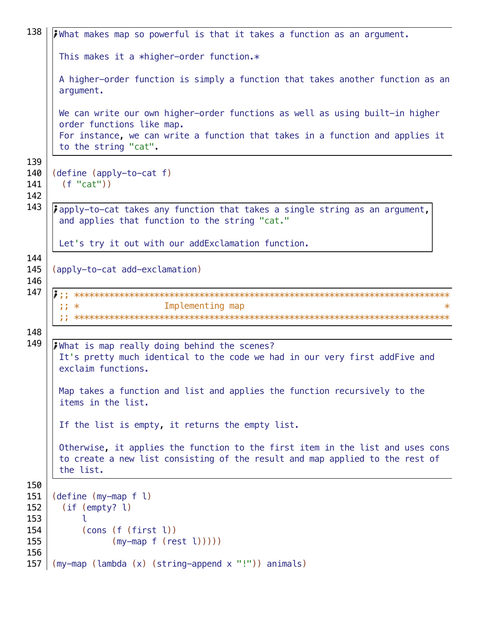```
138
    what makes map so powerful is that it takes a function as an argument.
     This makes it a *higher-order function.*
     A higher-order function is simply a function that takes another function as an
     arqument.
     We can write our own higher-order functions as well as using built-in higher
     order functions like map.
     For instance, we can write a function that takes in a function and applies it
     to the string "cat".
139
140
    (detine (apply-to-cat f))(f''cat'')141
142
143
    i apply-to-cat takes any function that takes a single string as an argument,
     and applies that function to the string "cat."
     Let's try it out with our addExclamation function.
144
145
    (apply-to-cat add-exclamation)
146
147
    \frac{1}{2} \frac{1}{2} \frac{1}{2}Implementing map
      148
149
    i What is map really doing behind the scenes?
     It's pretty much identical to the code we had in our very first addFive and
     exclaim functions.
     Map takes a function and list and applies the function recursively to the
     items in the list.
     If the list is empty, it returns the empty list.
     Otherwise, it applies the function to the first item in the list and uses cons
     to create a new list consisting of the result and map applied to the rest of
     the list.
150
151
    (detine (my-map f l)152
      (if (empty? l)153
          Τ.
154
          (cons (f (first l))
155
               (my-map f (rest l))))156
157 | (my-map (lambda (x) (string-append x "!")) animals)
```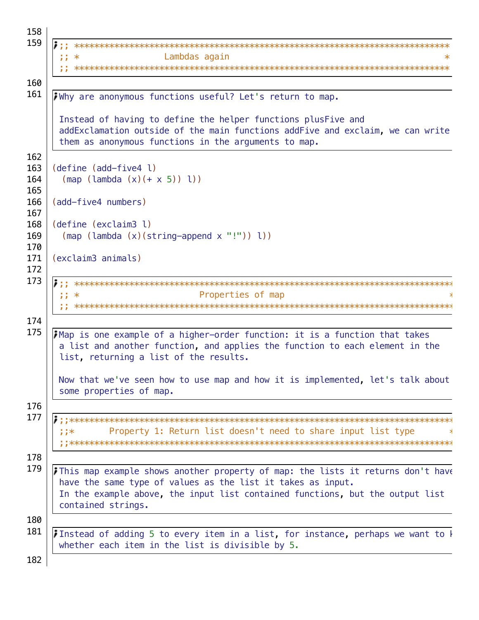```
158
159
       Lambdas again
    , 1, *\ast160
161
    iWhy are anonymous functions useful? Let's return to map.
    Instead of having to define the helper functions plusFive and
    addExclamation outside of the main functions addFive and exclaim, we can write
    them as anonymous functions in the arguments to map.
162
   (define (add-five4 l)
163
     (\text{map} (\text{lambda}(x)(+x 5)))164
165
   (add-five4 numbers)
166
167
   (define (exclaim3 l)
168
169
     (\text{map} (\text{lambda} (x)(string-append x "!")) 1))170
   (exclaim3 animals)
171
172
173
   Properties of map
    , ; *174
175
   Map is one example of a higher-order function: it is a function that takes
    a list and another function, and applies the function to each element in the
    list, returning a list of the results.
    Now that we've seen how to use map and how it is implemented, let's talk about
    some properties of map.
176
177
    Property 1: Return list doesn't need to share input list type
    ;;*178
179
    This map example shows another property of map: the lists it returns don't have
    have the same type of values as the list it takes as input.
    In the example above, the input list contained functions, but the output list
    contained strings.
180
181
    Instead of adding 5 to every item in a list, for instance, perhaps we want to \frac{1}{2}whether each item in the list is divisible by 5.
182
```